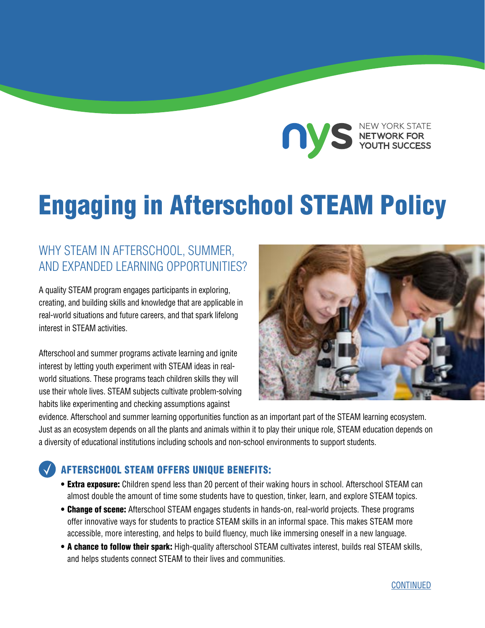

# Engaging in Afterschool STEAM Policy

## WHY STEAM IN AFTERSCHOOL, SUMMER, AND EXPANDED LEARNING OPPORTUNITIES?

A quality STEAM program engages participants in exploring, creating, and building skills and knowledge that are applicable in real-world situations and future careers, and that spark lifelong interest in STEAM activities.

Afterschool and summer programs activate learning and ignite interest by letting youth experiment with STEAM ideas in realworld situations. These programs teach children skills they will use their whole lives. STEAM subjects cultivate problem-solving habits like experimenting and checking assumptions against



evidence. Afterschool and summer learning opportunities function as an important part of the STEAM learning ecosystem. Just as an ecosystem depends on all the plants and animals within it to play their unique role, STEAM education depends on a diversity of educational institutions including schools and non-school environments to support students.

#### AFTERSCHOOL STEAM OFFERS UNIQUE BENEFITS:

- **Extra exposure:** Children spend less than 20 percent of their waking hours in school. Afterschool STEAM can almost double the amount of time some students have to question, tinker, learn, and explore STEAM topics.
- Change of scene: Afterschool STEAM engages students in hands-on, real-world projects. These programs offer innovative ways for students to practice STEAM skills in an informal space. This makes STEAM more accessible, more interesting, and helps to build fluency, much like immersing oneself in a new language.
- A chance to follow their spark: High-quality afterschool STEAM cultivates interest, builds real STEAM skills, and helps students connect STEAM to their lives and communities.